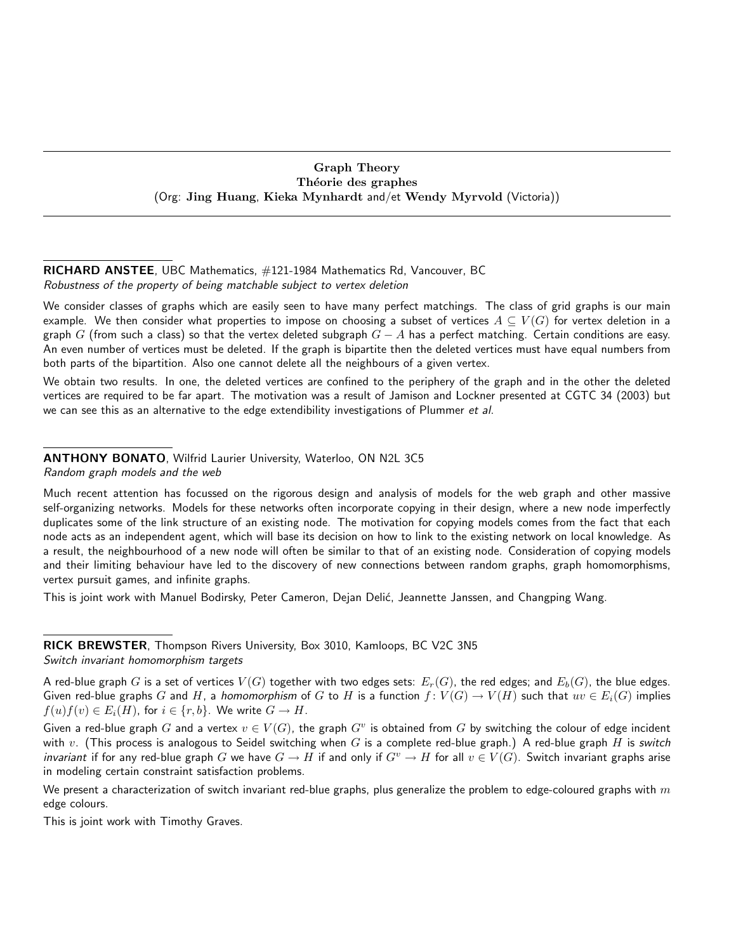## Graph Theory Théorie des graphes (Org: Jing Huang, Kieka Mynhardt and/et Wendy Myrvold (Victoria))

## RICHARD ANSTEE, UBC Mathematics, #121-1984 Mathematics Rd, Vancouver, BC Robustness of the property of being matchable subject to vertex deletion

We consider classes of graphs which are easily seen to have many perfect matchings. The class of grid graphs is our main example. We then consider what properties to impose on choosing a subset of vertices  $A \subseteq V(G)$  for vertex deletion in a graph G (from such a class) so that the vertex deleted subgraph  $G - A$  has a perfect matching. Certain conditions are easy. An even number of vertices must be deleted. If the graph is bipartite then the deleted vertices must have equal numbers from both parts of the bipartition. Also one cannot delete all the neighbours of a given vertex.

We obtain two results. In one, the deleted vertices are confined to the periphery of the graph and in the other the deleted vertices are required to be far apart. The motivation was a result of Jamison and Lockner presented at CGTC 34 (2003) but we can see this as an alternative to the edge extendibility investigations of Plummer et al.

#### ANTHONY BONATO, Wilfrid Laurier University, Waterloo, ON N2L 3C5 Random graph models and the web

Much recent attention has focussed on the rigorous design and analysis of models for the web graph and other massive self-organizing networks. Models for these networks often incorporate copying in their design, where a new node imperfectly duplicates some of the link structure of an existing node. The motivation for copying models comes from the fact that each node acts as an independent agent, which will base its decision on how to link to the existing network on local knowledge. As a result, the neighbourhood of a new node will often be similar to that of an existing node. Consideration of copying models and their limiting behaviour have led to the discovery of new connections between random graphs, graph homomorphisms, vertex pursuit games, and infinite graphs.

This is joint work with Manuel Bodirsky, Peter Cameron, Dejan Delić, Jeannette Janssen, and Changping Wang.

RICK BREWSTER, Thompson Rivers University, Box 3010, Kamloops, BC V2C 3N5 Switch invariant homomorphism targets

A red-blue graph G is a set of vertices  $V(G)$  together with two edges sets:  $E_r(G)$ , the red edges; and  $E_b(G)$ , the blue edges. Given red-blue graphs G and H, a homomorphism of G to H is a function  $f: V(G) \to V(H)$  such that  $uv \in E_i(G)$  implies  $f(u)f(v) \in E_i(H)$ , for  $i \in \{r, b\}$ . We write  $G \to H$ .

Given a red-blue graph G and a vertex  $v \in V(G)$ , the graph  $G^v$  is obtained from  $G$  by switching the colour of edge incident with v. (This process is analogous to Seidel switching when G is a complete red-blue graph.) A red-blue graph H is switch *invariant* if for any red-blue graph G we have  $G \to H$  if and only if  $G^v \to H$  for all  $v \in V(G)$ . Switch invariant graphs arise in modeling certain constraint satisfaction problems.

We present a characterization of switch invariant red-blue graphs, plus generalize the problem to edge-coloured graphs with  $m$ edge colours.

This is joint work with Timothy Graves.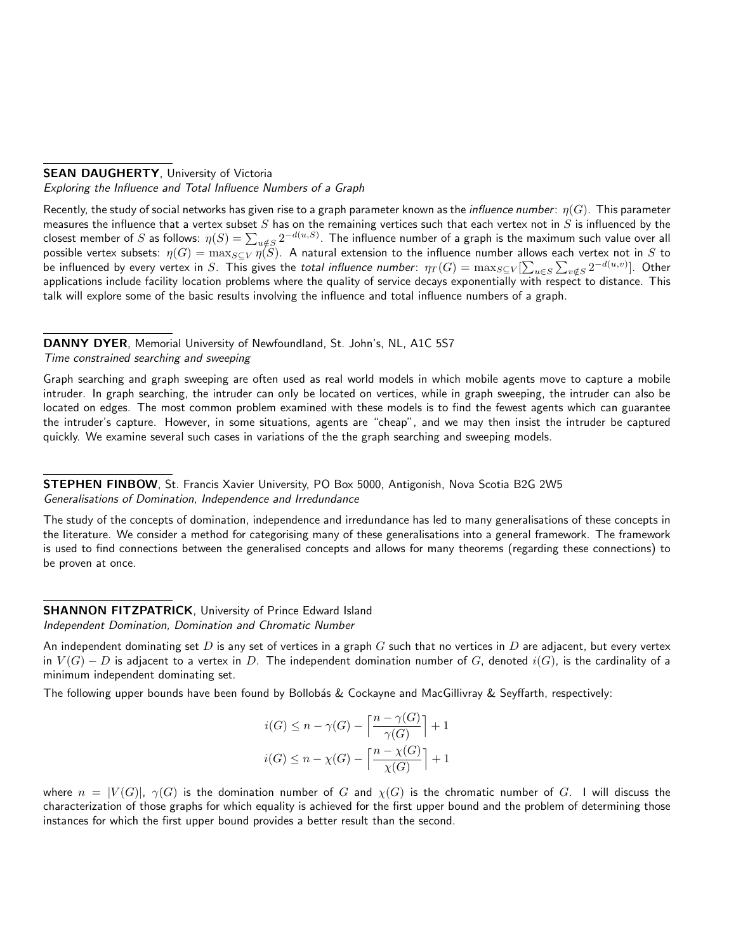# **SEAN DAUGHERTY, University of Victoria**

Exploring the Influence and Total Influence Numbers of a Graph

Recently, the study of social networks has given rise to a graph parameter known as the *influence number:*  $\eta(G)$ . This parameter measures the influence that a vertex subset  $S$  has on the remaining vertices such that each vertex not in  $S$  is influenced by the closest member of  $S$  as follows:  $\eta(S)=\sum_{u\notin S}2^{-d(u,S)}.$  The influence number of a graph is the maximum such value over all possible vertex subsets:  $\eta(G)=\max_{S\subseteq V}\eta(S)$ . A natural extension to the influence number allows each vertex not in  $S$  to be influenced by every vertex in  $S$ . This gives the *total influence number:*  $\eta_T(G)=\max_{S\subseteq V}[\sum_{u\in S}\sum_{v\notin S}2^{-d(u,v)}].$  Other applications include facility location problems where the quality of service decays exponentially with respect to distance. This talk will explore some of the basic results involving the influence and total influence numbers of a graph.

#### DANNY DYER, Memorial University of Newfoundland, St. John's, NL, A1C 5S7 Time constrained searching and sweeping

Graph searching and graph sweeping are often used as real world models in which mobile agents move to capture a mobile intruder. In graph searching, the intruder can only be located on vertices, while in graph sweeping, the intruder can also be located on edges. The most common problem examined with these models is to find the fewest agents which can guarantee the intruder's capture. However, in some situations, agents are "cheap", and we may then insist the intruder be captured quickly. We examine several such cases in variations of the the graph searching and sweeping models.

STEPHEN FINBOW, St. Francis Xavier University, PO Box 5000, Antigonish, Nova Scotia B2G 2W5 Generalisations of Domination, Independence and Irredundance

The study of the concepts of domination, independence and irredundance has led to many generalisations of these concepts in the literature. We consider a method for categorising many of these generalisations into a general framework. The framework is used to find connections between the generalised concepts and allows for many theorems (regarding these connections) to be proven at once.

# **SHANNON FITZPATRICK, University of Prince Edward Island**

Independent Domination, Domination and Chromatic Number

An independent dominating set D is any set of vertices in a graph G such that no vertices in D are adjacent, but every vertex in  $V(G) - D$  is adjacent to a vertex in D. The independent domination number of G, denoted  $i(G)$ , is the cardinality of a minimum independent dominating set.

The following upper bounds have been found by Bollobás & Cockayne and MacGillivray & Seyffarth, respectively:

$$
i(G) \le n - \gamma(G) - \left\lceil \frac{n - \gamma(G)}{\gamma(G)} \right\rceil + 1
$$
  

$$
i(G) \le n - \chi(G) - \left\lceil \frac{n - \chi(G)}{\chi(G)} \right\rceil + 1
$$

where  $n = |V(G)|$ ,  $\gamma(G)$  is the domination number of G and  $\chi(G)$  is the chromatic number of G. I will discuss the characterization of those graphs for which equality is achieved for the first upper bound and the problem of determining those instances for which the first upper bound provides a better result than the second.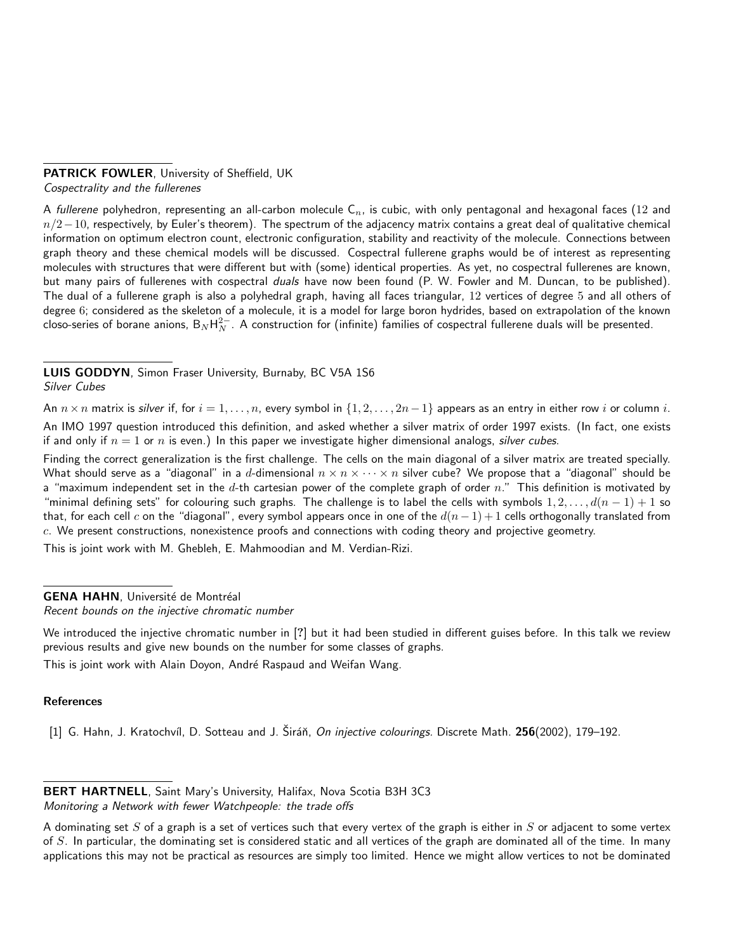#### PATRICK FOWLER, University of Sheffield, UK Cospectrality and the fullerenes

A fullerene polyhedron, representing an all-carbon molecule  $C_n$ , is cubic, with only pentagonal and hexagonal faces (12 and  $n/2-10$ , respectively, by Euler's theorem). The spectrum of the adjacency matrix contains a great deal of qualitative chemical information on optimum electron count, electronic configuration, stability and reactivity of the molecule. Connections between graph theory and these chemical models will be discussed. Cospectral fullerene graphs would be of interest as representing molecules with structures that were different but with (some) identical properties. As yet, no cospectral fullerenes are known, but many pairs of fullerenes with cospectral *duals* have now been found (P. W. Fowler and M. Duncan, to be published). The dual of a fullerene graph is also a polyhedral graph, having all faces triangular, 12 vertices of degree 5 and all others of degree 6; considered as the skeleton of a molecule, it is a model for large boron hydrides, based on extrapolation of the known closo-series of borane anions,  $\mathsf{B}_N\mathsf{H}_N^{2-}$ . A construction for (infinite) families of cospectral fullerene duals will be presented.

LUIS GODDYN, Simon Fraser University, Burnaby, BC V5A 1S6

## Silver Cubes

An  $n \times n$  matrix is silver if, for  $i = 1, \ldots, n$ , every symbol in  $\{1, 2, \ldots, 2n-1\}$  appears as an entry in either row i or column i. An IMO 1997 question introduced this definition, and asked whether a silver matrix of order 1997 exists. (In fact, one exists if and only if  $n = 1$  or n is even.) In this paper we investigate higher dimensional analogs, silver cubes.

Finding the correct generalization is the first challenge. The cells on the main diagonal of a silver matrix are treated specially. What should serve as a "diagonal" in a d-dimensional  $n \times n \times \cdots \times n$  silver cube? We propose that a "diagonal" should be a "maximum independent set in the  $d$ -th cartesian power of the complete graph of order  $n$ ." This definition is motivated by "minimal defining sets" for colouring such graphs. The challenge is to label the cells with symbols  $1, 2, \ldots, d(n-1)+1$  so that, for each cell c on the "diagonal", every symbol appears once in one of the  $d(n-1)+1$  cells orthogonally translated from  $c$ . We present constructions, nonexistence proofs and connections with coding theory and projective geometry.

This is joint work with M. Ghebleh, E. Mahmoodian and M. Verdian-Rizi.

GENA HAHN, Université de Montréal

Recent bounds on the injective chromatic number

We introduced the injective chromatic number in [?] but it had been studied in different guises before. In this talk we review previous results and give new bounds on the number for some classes of graphs.

This is joint work with Alain Doyon, André Raspaud and Weifan Wang.

#### **References**

[1] G. Hahn, J. Kratochvíl, D. Sotteau and J. Širáň, On injective colourings. Discrete Math. 256(2002), 179–192.

BERT HARTNELL, Saint Mary's University, Halifax, Nova Scotia B3H 3C3 Monitoring a Network with fewer Watchpeople: the trade offs

A dominating set  $S$  of a graph is a set of vertices such that every vertex of the graph is either in  $S$  or adjacent to some vertex of  $S$ . In particular, the dominating set is considered static and all vertices of the graph are dominated all of the time. In many applications this may not be practical as resources are simply too limited. Hence we might allow vertices to not be dominated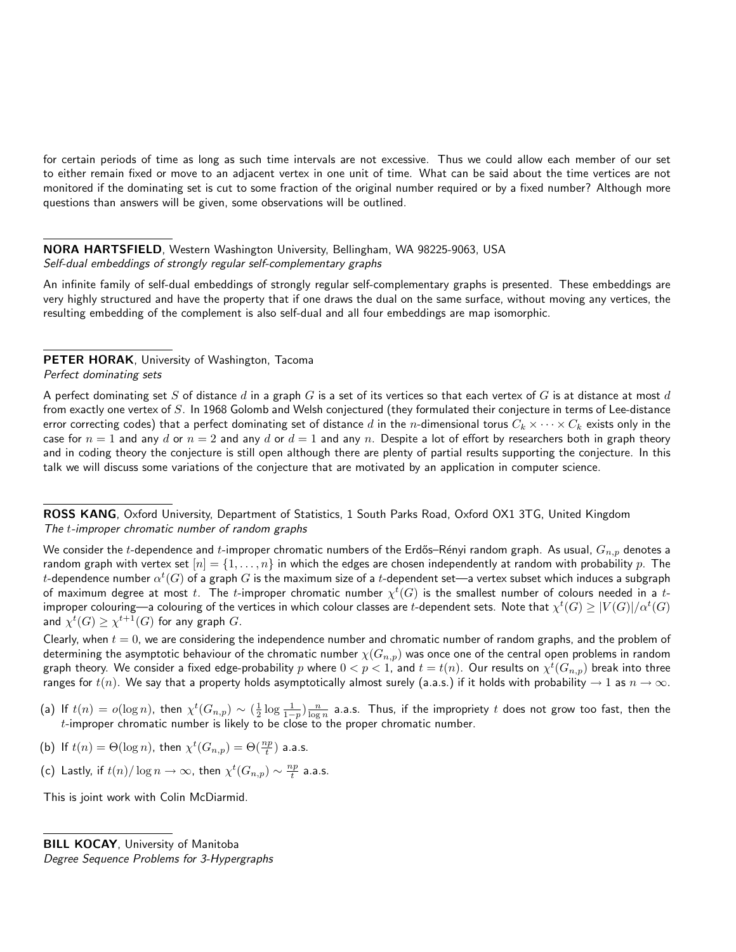for certain periods of time as long as such time intervals are not excessive. Thus we could allow each member of our set to either remain fixed or move to an adjacent vertex in one unit of time. What can be said about the time vertices are not monitored if the dominating set is cut to some fraction of the original number required or by a fixed number? Although more questions than answers will be given, some observations will be outlined.

# NORA HARTSFIELD, Western Washington University, Bellingham, WA 98225-9063, USA Self-dual embeddings of strongly regular self-complementary graphs

An infinite family of self-dual embeddings of strongly regular self-complementary graphs is presented. These embeddings are very highly structured and have the property that if one draws the dual on the same surface, without moving any vertices, the resulting embedding of the complement is also self-dual and all four embeddings are map isomorphic.

PETER HORAK, University of Washington, Tacoma Perfect dominating sets

A perfect dominating set S of distance d in a graph G is a set of its vertices so that each vertex of G is at distance at most d from exactly one vertex of  $S$ . In 1968 Golomb and Welsh conjectured (they formulated their conjecture in terms of Lee-distance error correcting codes) that a perfect dominating set of distance d in the n-dimensional torus  $C_k \times \cdots \times C_k$  exists only in the case for  $n = 1$  and any d or  $n = 2$  and any d or  $d = 1$  and any n. Despite a lot of effort by researchers both in graph theory and in coding theory the conjecture is still open although there are plenty of partial results supporting the conjecture. In this talk we will discuss some variations of the conjecture that are motivated by an application in computer science.

ROSS KANG, Oxford University, Department of Statistics, 1 South Parks Road, Oxford OX1 3TG, United Kingdom The t-improper chromatic number of random graphs

We consider the t-dependence and t-improper chromatic numbers of the Erdős–Rényi random graph. As usual,  $G_{n,p}$  denotes a random graph with vertex set  $[n] = \{1, \ldots, n\}$  in which the edges are chosen independently at random with probability p. The  $t$ -dependence number  $\alpha^t(G)$  of a graph  $G$  is the maximum size of a  $t$ -dependent set—a vertex subset which induces a subgraph of maximum degree at most  $t.$  The  $t$ -improper chromatic number  $\chi^t(G)$  is the smallest number of colours needed in a  $t$ improper colouring—a colouring of the vertices in which colour classes are  $t$ -dependent sets. Note that  $\chi^t(G)\geq |V(G)|/\alpha^t(G)$ and  $\chi^t(G) \geq \chi^{t+1}(G)$  for any graph  $G$ .

Clearly, when  $t = 0$ , we are considering the independence number and chromatic number of random graphs, and the problem of determining the asymptotic behaviour of the chromatic number  $\chi(G_{n,p})$  was once one of the central open problems in random graph theory. We consider a fixed edge-probability  $p$  where  $0< p< 1$ , and  $t=t(n)$ . Our results on  $\chi^t(G_{n,p})$  break into three ranges for  $t(n)$ . We say that a property holds asymptotically almost surely (a.a.s.) if it holds with probability  $\rightarrow 1$  as  $n \rightarrow \infty$ .

- (a) If  $t(n)=o(\log n)$ , then  $\chi^t(G_{n,p})\sim (\frac{1}{2}\log\frac{1}{1-p})\frac{n}{\log n}$  a.a.s. Thus, if the impropriety  $t$  does not grow too fast, then the  $t$ -improper chromatic number is likely to be close to the proper chromatic number.
- (b) If  $t(n) = \Theta(\log n)$ , then  $\chi^t(G_{n,p}) = \Theta(\frac{np}{t})$  a.a.s.
- (c) Lastly, if  $t(n)/\log n \to \infty$ , then  $\chi^t(G_{n,p}) \sim \frac{np}{t}$  a.a.s.

This is joint work with Colin McDiarmid.

Degree Sequence Problems for 3-Hypergraphs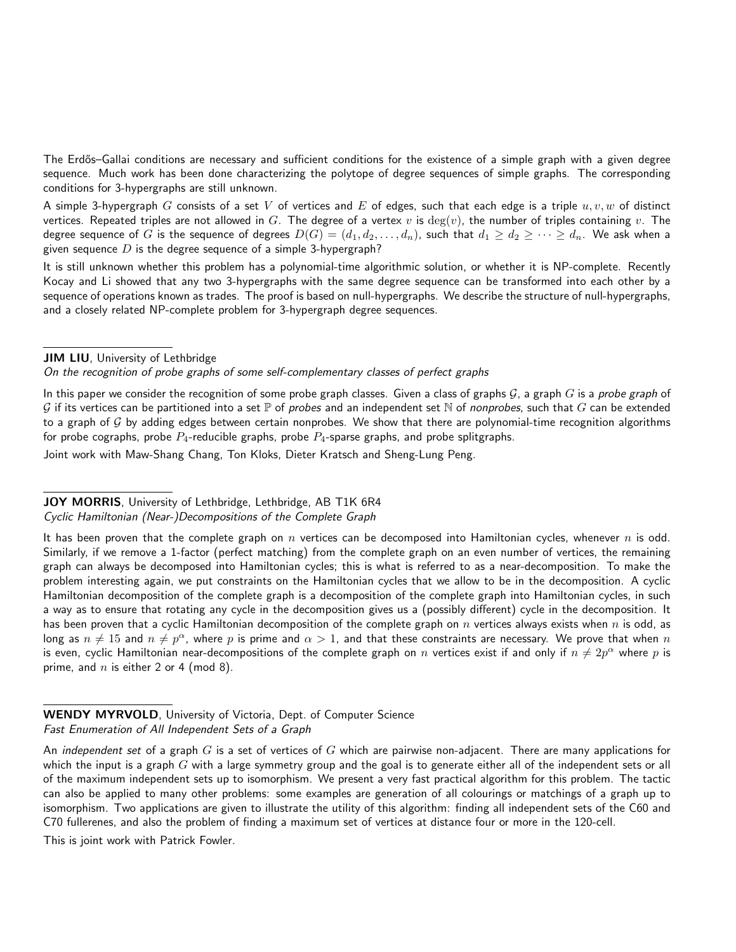The Erdős-Gallai conditions are necessary and sufficient conditions for the existence of a simple graph with a given degree sequence. Much work has been done characterizing the polytope of degree sequences of simple graphs. The corresponding conditions for 3-hypergraphs are still unknown.

A simple 3-hypergraph G consists of a set V of vertices and E of edges, such that each edge is a triple  $u, v, w$  of distinct vertices. Repeated triples are not allowed in G. The degree of a vertex v is  $deg(v)$ , the number of triples containing v. The degree sequence of G is the sequence of degrees  $D(G) = (d_1, d_2, \ldots, d_n)$ , such that  $d_1 \geq d_2 \geq \cdots \geq d_n$ . We ask when a given sequence  $D$  is the degree sequence of a simple 3-hypergraph?

It is still unknown whether this problem has a polynomial-time algorithmic solution, or whether it is NP-complete. Recently Kocay and Li showed that any two 3-hypergraphs with the same degree sequence can be transformed into each other by a sequence of operations known as trades. The proof is based on null-hypergraphs. We describe the structure of null-hypergraphs, and a closely related NP-complete problem for 3-hypergraph degree sequences.

JIM LIU, University of Lethbridge

On the recognition of probe graphs of some self-complementary classes of perfect graphs

In this paper we consider the recognition of some probe graph classes. Given a class of graphs  $G$ , a graph G is a probe graph of G if its vertices can be partitioned into a set  $\mathbb P$  of probes and an independent set N of nonprobes, such that G can be extended to a graph of  $G$  by adding edges between certain nonprobes. We show that there are polynomial-time recognition algorithms for probe cographs, probe  $P_4$ -reducible graphs, probe  $P_4$ -sparse graphs, and probe splitgraphs.

Joint work with Maw-Shang Chang, Ton Kloks, Dieter Kratsch and Sheng-Lung Peng.

#### JOY MORRIS, University of Lethbridge, Lethbridge, AB T1K 6R4

#### Cyclic Hamiltonian (Near-)Decompositions of the Complete Graph

It has been proven that the complete graph on  $n$  vertices can be decomposed into Hamiltonian cycles, whenever  $n$  is odd. Similarly, if we remove a 1-factor (perfect matching) from the complete graph on an even number of vertices, the remaining graph can always be decomposed into Hamiltonian cycles; this is what is referred to as a near-decomposition. To make the problem interesting again, we put constraints on the Hamiltonian cycles that we allow to be in the decomposition. A cyclic Hamiltonian decomposition of the complete graph is a decomposition of the complete graph into Hamiltonian cycles, in such a way as to ensure that rotating any cycle in the decomposition gives us a (possibly different) cycle in the decomposition. It has been proven that a cyclic Hamiltonian decomposition of the complete graph on  $n$  vertices always exists when  $n$  is odd, as long as  $n\neq 15$  and  $n\neq p^\alpha$ , where  $p$  is prime and  $\alpha>1$ , and that these constraints are necessary. We prove that when  $n$ is even, cyclic Hamiltonian near-decompositions of the complete graph on  $n$  vertices exist if and only if  $n\neq 2p^\alpha$  where  $p$  is prime, and  $n$  is either 2 or 4 (mod 8).

WENDY MYRVOLD, University of Victoria, Dept. of Computer Science Fast Enumeration of All Independent Sets of a Graph

An independent set of a graph  $G$  is a set of vertices of  $G$  which are pairwise non-adjacent. There are many applications for which the input is a graph  $G$  with a large symmetry group and the goal is to generate either all of the independent sets or all of the maximum independent sets up to isomorphism. We present a very fast practical algorithm for this problem. The tactic can also be applied to many other problems: some examples are generation of all colourings or matchings of a graph up to isomorphism. Two applications are given to illustrate the utility of this algorithm: finding all independent sets of the C60 and C70 fullerenes, and also the problem of finding a maximum set of vertices at distance four or more in the 120-cell.

This is joint work with Patrick Fowler.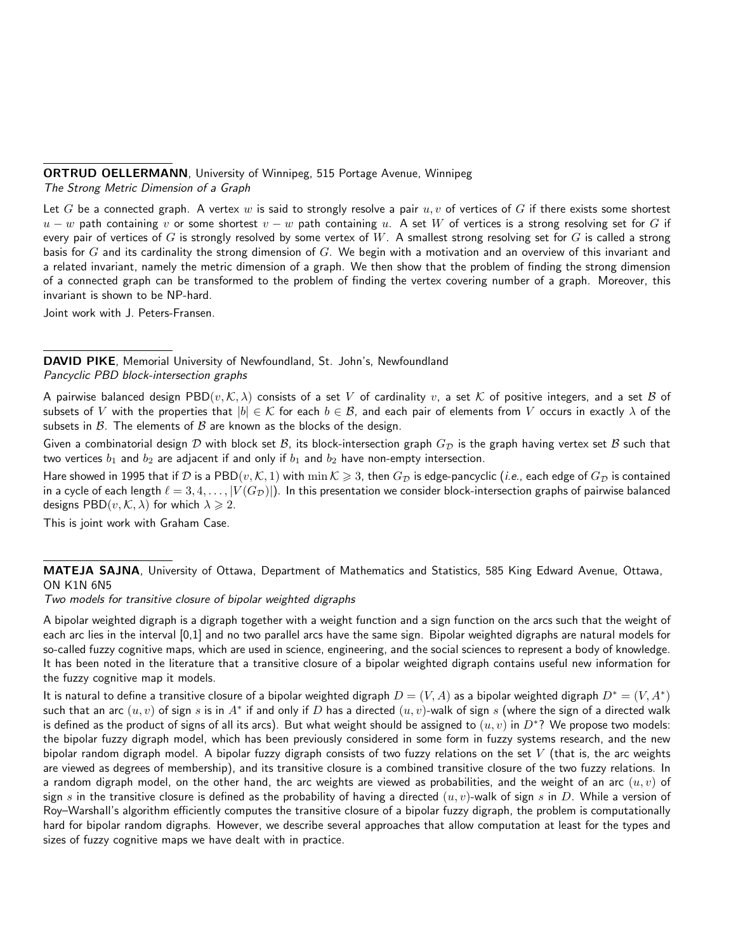## ORTRUD OELLERMANN, University of Winnipeg, 515 Portage Avenue, Winnipeg

The Strong Metric Dimension of a Graph

Let G be a connected graph. A vertex w is said to strongly resolve a pair  $u, v$  of vertices of G if there exists some shortest  $u - w$  path containing v or some shortest  $v - w$  path containing u. A set W of vertices is a strong resolving set for G if every pair of vertices of G is strongly resolved by some vertex of  $W$ . A smallest strong resolving set for G is called a strong basis for  $G$  and its cardinality the strong dimension of  $G$ . We begin with a motivation and an overview of this invariant and a related invariant, namely the metric dimension of a graph. We then show that the problem of finding the strong dimension of a connected graph can be transformed to the problem of finding the vertex covering number of a graph. Moreover, this invariant is shown to be NP-hard.

Joint work with J. Peters-Fransen.

DAVID PIKE, Memorial University of Newfoundland, St. John's, Newfoundland Pancyclic PBD block-intersection graphs

A pairwise balanced design PBD $(v, K, \lambda)$  consists of a set V of cardinality v, a set K of positive integers, and a set B of subsets of V with the properties that  $|b| \in \mathcal{K}$  for each  $b \in \mathcal{B}$ , and each pair of elements from V occurs in exactly  $\lambda$  of the subsets in  $\beta$ . The elements of  $\beta$  are known as the blocks of the design.

Given a combinatorial design D with block set B, its block-intersection graph  $G<sub>D</sub>$  is the graph having vertex set B such that two vertices  $b_1$  and  $b_2$  are adjacent if and only if  $b_1$  and  $b_2$  have non-empty intersection.

Hare showed in 1995 that if D is a PBD $(v, K, 1)$  with  $\min K \geqslant 3$ , then  $G_{\mathcal{D}}$  is edge-pancyclic (*i.e.*, each edge of  $G_{\mathcal{D}}$  is contained in a cycle of each length  $\ell = 3, 4, \ldots, |V(G_{\mathcal{D}})|$ . In this presentation we consider block-intersection graphs of pairwise balanced designs PBD $(v, K, \lambda)$  for which  $\lambda \geq 2$ .

This is joint work with Graham Case.

# MATEJA SAJNA, University of Ottawa, Department of Mathematics and Statistics, 585 King Edward Avenue, Ottawa, ON K1N 6N5

Two models for transitive closure of bipolar weighted digraphs

A bipolar weighted digraph is a digraph together with a weight function and a sign function on the arcs such that the weight of each arc lies in the interval [0,1] and no two parallel arcs have the same sign. Bipolar weighted digraphs are natural models for so-called fuzzy cognitive maps, which are used in science, engineering, and the social sciences to represent a body of knowledge. It has been noted in the literature that a transitive closure of a bipolar weighted digraph contains useful new information for the fuzzy cognitive map it models.

It is natural to define a transitive closure of a bipolar weighted digraph  $D=(V,A)$  as a bipolar weighted digraph  $D^*=(V,A^*)$ such that an arc  $(u,v)$  of sign  $s$  is in  $A^*$  if and only if  $D$  has a directed  $(u,v)$ -walk of sign  $s$  (where the sign of a directed walk is defined as the product of signs of all its arcs). But what weight should be assigned to  $(u, v)$  in  $D^*$ ? We propose two models: the bipolar fuzzy digraph model, which has been previously considered in some form in fuzzy systems research, and the new bipolar random digraph model. A bipolar fuzzy digraph consists of two fuzzy relations on the set  $V$  (that is, the arc weights are viewed as degrees of membership), and its transitive closure is a combined transitive closure of the two fuzzy relations. In a random digraph model, on the other hand, the arc weights are viewed as probabilities, and the weight of an arc  $(u, v)$  of sign s in the transitive closure is defined as the probability of having a directed  $(u, v)$ -walk of sign s in D. While a version of Roy–Warshall's algorithm efficiently computes the transitive closure of a bipolar fuzzy digraph, the problem is computationally hard for bipolar random digraphs. However, we describe several approaches that allow computation at least for the types and sizes of fuzzy cognitive maps we have dealt with in practice.